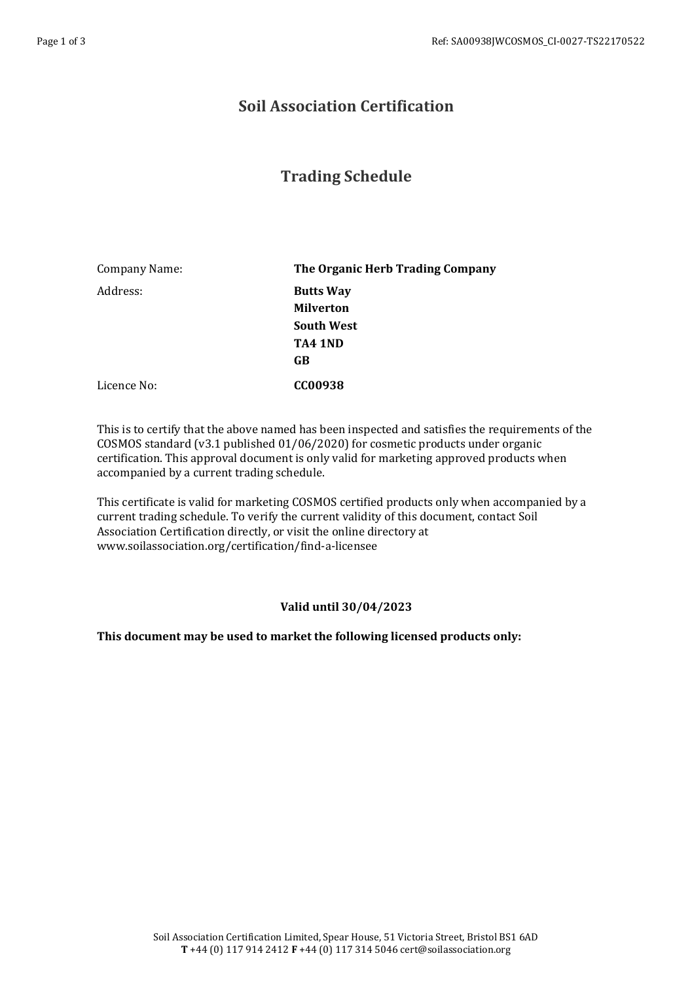## **Soil Association Certification**

## **Trading Schedule**

| Company Name: | The Organic Herb Trading Company     |
|---------------|--------------------------------------|
| Address:      | <b>Butts Way</b><br><b>Milverton</b> |
|               | <b>South West</b>                    |
|               | TA4 1ND                              |
|               | GB                                   |
| Licence No:   | CC00938                              |

This is to certify that the above named has been inspected and satisfies the requirements of the COSMOS standard (v3.1 published 01/06/2020) for cosmetic products under organic certification. This approval document is only valid for marketing approved products when accompanied by a current trading schedule.

This certificate is valid for marketing COSMOS certified products only when accompanied by a current trading schedule. To verify the current validity of this document, contact Soil Association Certification directly, or visit the online directory at www.soilassociation.org/certification/find-a-licensee

## **Valid until 30/04/2023**

## **This document may be used to market the following licensed products only:**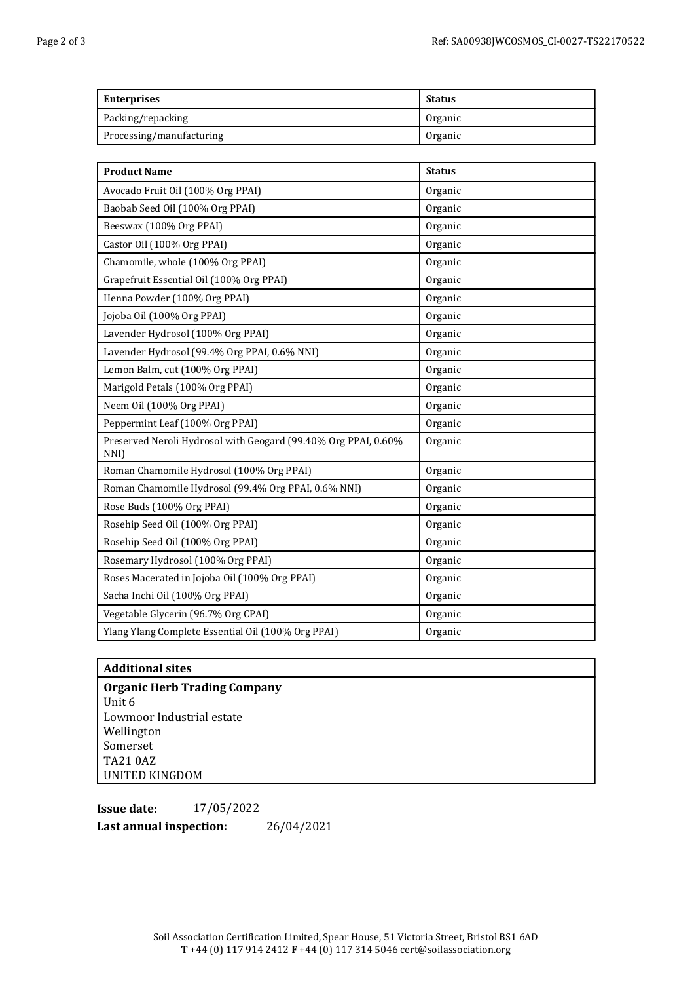| <b>Enterprises</b>       | <b>Status</b> |
|--------------------------|---------------|
| Packing/repacking        | Organic       |
| Processing/manufacturing | Organic       |

| <b>Product Name</b>                                                    | <b>Status</b> |
|------------------------------------------------------------------------|---------------|
| Avocado Fruit Oil (100% Org PPAI)                                      | Organic       |
| Baobab Seed Oil (100% Org PPAI)                                        | Organic       |
| Beeswax (100% Org PPAI)                                                | Organic       |
| Castor Oil (100% Org PPAI)                                             | Organic       |
| Chamomile, whole (100% Org PPAI)                                       | Organic       |
| Grapefruit Essential Oil (100% Org PPAI)                               | Organic       |
| Henna Powder (100% Org PPAI)                                           | Organic       |
| Jojoba Oil (100% Org PPAI)                                             | Organic       |
| Lavender Hydrosol (100% Org PPAI)                                      | Organic       |
| Lavender Hydrosol (99.4% Org PPAI, 0.6% NNI)                           | Organic       |
| Lemon Balm, cut (100% Org PPAI)                                        | Organic       |
| Marigold Petals (100% Org PPAI)                                        | Organic       |
| Neem Oil (100% Org PPAI)                                               | Organic       |
| Peppermint Leaf (100% Org PPAI)                                        | Organic       |
| Preserved Neroli Hydrosol with Geogard (99.40% Org PPAI, 0.60%<br>NNI) | Organic       |
| Roman Chamomile Hydrosol (100% Org PPAI)                               | Organic       |
| Roman Chamomile Hydrosol (99.4% Org PPAI, 0.6% NNI)                    | Organic       |
| Rose Buds (100% Org PPAI)                                              | Organic       |
| Rosehip Seed Oil (100% Org PPAI)                                       | Organic       |
| Rosehip Seed Oil (100% Org PPAI)                                       | Organic       |
| Rosemary Hydrosol (100% Org PPAI)                                      | Organic       |
| Roses Macerated in Jojoba Oil (100% Org PPAI)                          | Organic       |
| Sacha Inchi Oil (100% Org PPAI)                                        | Organic       |
| Vegetable Glycerin (96.7% Org CPAI)                                    | Organic       |
| Ylang Ylang Complete Essential Oil (100% Org PPAI)                     | Organic       |

**Additional sites Organic Herb Trading Company** Unit 6 Lowmoor Industrial estate Wellington Somerset TA21 0AZ UNITED KINGDOM

**Issue date:** 17/05/2022 **Last annual inspection:** 26/04/2021